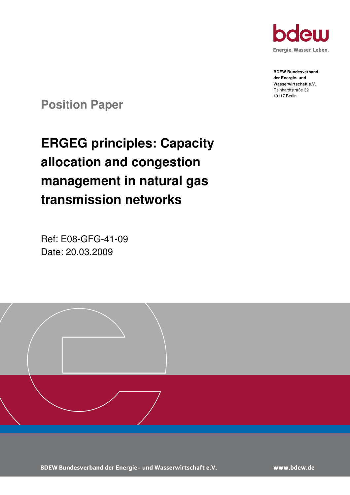

**BDEW Bundesverband der Energie- und Wasserwirtschaft e.V.**  Reinhardtstraße 32 10117 Berlin

**Position Paper** 

# **ERGEG principles: Capacity allocation and congestion management in natural gas transmission networks**

Ref: E08-GFG-41-09 Date: 20.03.2009



BDEW Bundesverband der Energie- und Wasserwirtschaft e.V.

www.bdew.de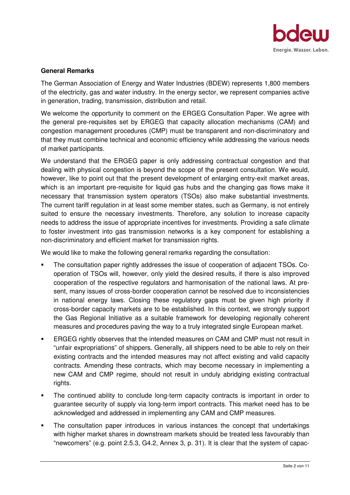

#### **General Remarks**

The German Association of Energy and Water Industries (BDEW) represents 1,800 members of the electricity, gas and water industry. In the energy sector, we represent companies active in generation, trading, transmission, distribution and retail.

We welcome the opportunity to comment on the ERGEG Consultation Paper. We agree with the general pre-requisites set by ERGEG that capacity allocation mechanisms (CAM) and congestion management procedures (CMP) must be transparent and non-discriminatory and that they must combine technical and economic efficiency while addressing the various needs of market participants.

We understand that the ERGEG paper is only addressing contractual congestion and that dealing with physical congestion is beyond the scope of the present consultation. We would, however, like to point out that the present development of enlarging entry-exit market areas, which is an important pre-requisite for liquid gas hubs and the changing gas flows make it necessary that transmission system operators (TSOs) also make substantial investments. The current tariff regulation in at least some member states, such as Germany, is not entirely suited to ensure the necessary investments. Therefore, any solution to increase capacity needs to address the issue of appropriate incentives for investments. Providing a safe climate to foster investment into gas transmission networks is a key component for establishing a non-discriminatory and efficient market for transmission rights.

We would like to make the following general remarks regarding the consultation:

- The consultation paper rightly addresses the issue of cooperation of adjacent TSOs. Cooperation of TSOs will, however, only yield the desired results, if there is also improved cooperation of the respective regulators and harmonisation of the national laws. At present, many issues of cross-border cooperation cannot be resolved due to inconsistencies in national energy laws. Closing these regulatory gaps must be given high priority if cross-border capacity markets are to be established. In this context, we strongly support the Gas Regional Initiative as a suitable framework for developing regionally coherent measures and procedures paving the way to a truly integrated single European market.
- ERGEG rightly observes that the intended measures on CAM and CMP must not result in "unfair expropriations" of shippers. Generally, all shippers need to be able to rely on their existing contracts and the intended measures may not affect existing and valid capacity contracts. Amending these contracts, which may become necessary in implementing a new CAM and CMP regime, should not result in unduly abridging existing contractual rights.
- The continued ability to conclude long-term capacity contracts is important in order to guarantee security of supply via long-term import contracts. This market need has to be acknowledged and addressed in implementing any CAM and CMP measures.
- The consultation paper introduces in various instances the concept that undertakings with higher market shares in downstream markets should be treated less favourably than "newcomers" (e.g. point 2.5.3, G4.2, Annex 3, p. 31). It is clear that the system of capac-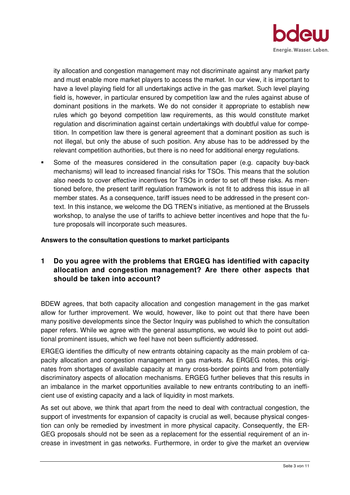

ity allocation and congestion management may not discriminate against any market party and must enable more market players to access the market. In our view, it is important to have a level playing field for all undertakings active in the gas market. Such level playing field is, however, in particular ensured by competition law and the rules against abuse of dominant positions in the markets. We do not consider it appropriate to establish new rules which go beyond competition law requirements, as this would constitute market regulation and discrimination against certain undertakings with doubtful value for competition. In competition law there is general agreement that a dominant position as such is not illegal, but only the abuse of such position. Any abuse has to be addressed by the relevant competition authorities, but there is no need for additional energy regulations.

 Some of the measures considered in the consultation paper (e.g. capacity buy-back mechanisms) will lead to increased financial risks for TSOs. This means that the solution also needs to cover effective incentives for TSOs in order to set off these risks. As mentioned before, the present tariff regulation framework is not fit to address this issue in all member states. As a consequence, tariff issues need to be addressed in the present context. In this instance, we welcome the DG TREN's initiative, as mentioned at the Brussels workshop, to analyse the use of tariffs to achieve better incentives and hope that the future proposals will incorporate such measures.

#### **Answers to the consultation questions to market participants**

# **1 Do you agree with the problems that ERGEG has identified with capacity allocation and congestion management? Are there other aspects that should be taken into account?**

BDEW agrees, that both capacity allocation and congestion management in the gas market allow for further improvement. We would, however, like to point out that there have been many positive developments since the Sector Inquiry was published to which the consultation paper refers. While we agree with the general assumptions, we would like to point out additional prominent issues, which we feel have not been sufficiently addressed.

ERGEG identifies the difficulty of new entrants obtaining capacity as the main problem of capacity allocation and congestion management in gas markets. As ERGEG notes, this originates from shortages of available capacity at many cross-border points and from potentially discriminatory aspects of allocation mechanisms. ERGEG further believes that this results in an imbalance in the market opportunities available to new entrants contributing to an inefficient use of existing capacity and a lack of liquidity in most markets.

As set out above, we think that apart from the need to deal with contractual congestion, the support of investments for expansion of capacity is crucial as well, because physical congestion can only be remedied by investment in more physical capacity. Consequently, the ER-GEG proposals should not be seen as a replacement for the essential requirement of an increase in investment in gas networks. Furthermore, in order to give the market an overview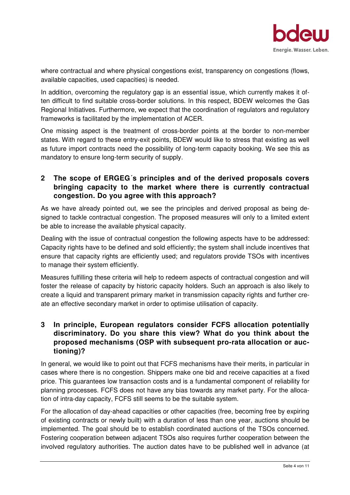

where contractual and where physical congestions exist, transparency on congestions (flows, available capacities, used capacities) is needed.

In addition, overcoming the regulatory gap is an essential issue, which currently makes it often difficult to find suitable cross-border solutions. In this respect, BDEW welcomes the Gas Regional Initiatives. Furthermore, we expect that the coordination of regulators and regulatory frameworks is facilitated by the implementation of ACER.

One missing aspect is the treatment of cross-border points at the border to non-member states. With regard to these entry-exit points, BDEW would like to stress that existing as well as future import contracts need the possibility of long-term capacity booking. We see this as mandatory to ensure long-term security of supply.

## **2 The scope of ERGEG´s principles and of the derived proposals covers bringing capacity to the market where there is currently contractual congestion. Do you agree with this approach?**

As we have already pointed out, we see the principles and derived proposal as being designed to tackle contractual congestion. The proposed measures will only to a limited extent be able to increase the available physical capacity.

Dealing with the issue of contractual congestion the following aspects have to be addressed: Capacity rights have to be defined and sold efficiently; the system shall include incentives that ensure that capacity rights are efficiently used; and regulators provide TSOs with incentives to manage their system efficiently.

Measures fulfilling these criteria will help to redeem aspects of contractual congestion and will foster the release of capacity by historic capacity holders. Such an approach is also likely to create a liquid and transparent primary market in transmission capacity rights and further create an effective secondary market in order to optimise utilisation of capacity.

# **3 In principle, European regulators consider FCFS allocation potentially discriminatory. Do you share this view? What do you think about the proposed mechanisms (OSP with subsequent pro-rata allocation or auctioning)?**

In general, we would like to point out that FCFS mechanisms have their merits, in particular in cases where there is no congestion. Shippers make one bid and receive capacities at a fixed price. This guarantees low transaction costs and is a fundamental component of reliability for planning processes. FCFS does not have any bias towards any market party. For the allocation of intra-day capacity, FCFS still seems to be the suitable system.

For the allocation of day-ahead capacities or other capacities (free, becoming free by expiring of existing contracts or newly built) with a duration of less than one year, auctions should be implemented. The goal should be to establish coordinated auctions of the TSOs concerned. Fostering cooperation between adjacent TSOs also requires further cooperation between the involved regulatory authorities. The auction dates have to be published well in advance (at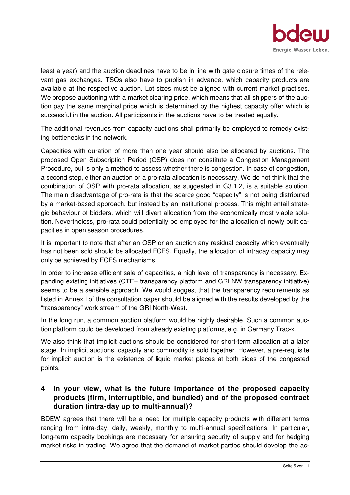

least a year) and the auction deadlines have to be in line with gate closure times of the relevant gas exchanges. TSOs also have to publish in advance, which capacity products are available at the respective auction. Lot sizes must be aligned with current market practises. We propose auctioning with a market clearing price, which means that all shippers of the auction pay the same marginal price which is determined by the highest capacity offer which is successful in the auction. All participants in the auctions have to be treated equally.

The additional revenues from capacity auctions shall primarily be employed to remedy existing bottlenecks in the network.

Capacities with duration of more than one year should also be allocated by auctions. The proposed Open Subscription Period (OSP) does not constitute a Congestion Management Procedure, but is only a method to assess whether there is congestion. In case of congestion, a second step, either an auction or a pro-rata allocation is necessary. We do not think that the combination of OSP with pro-rata allocation, as suggested in G3.1.2, is a suitable solution. The main disadvantage of pro-rata is that the scarce good "capacity" is not being distributed by a market-based approach, but instead by an institutional process. This might entail strategic behaviour of bidders, which will divert allocation from the economically most viable solution. Nevertheless, pro-rata could potentially be employed for the allocation of newly built capacities in open season procedures.

It is important to note that after an OSP or an auction any residual capacity which eventually has not been sold should be allocated FCFS. Equally, the allocation of intraday capacity may only be achieved by FCFS mechanisms.

In order to increase efficient sale of capacities, a high level of transparency is necessary. Expanding existing initiatives (GTE+ transparency platform and GRI NW transparency initiative) seems to be a sensible approach. We would suggest that the transparency requirements as listed in Annex I of the consultation paper should be aligned with the results developed by the "transparency" work stream of the GRI North-West.

In the long run, a common auction platform would be highly desirable. Such a common auction platform could be developed from already existing platforms, e.g. in Germany Trac-x.

We also think that implicit auctions should be considered for short-term allocation at a later stage. In implicit auctions, capacity and commodity is sold together. However, a pre-requisite for implicit auction is the existence of liquid market places at both sides of the congested points.

# **4 In your view, what is the future importance of the proposed capacity products (firm, interruptible, and bundled) and of the proposed contract duration (intra-day up to multi-annual)?**

BDEW agrees that there will be a need for multiple capacity products with different terms ranging from intra-day, daily, weekly, monthly to multi-annual specifications. In particular, long-term capacity bookings are necessary for ensuring security of supply and for hedging market risks in trading. We agree that the demand of market parties should develop the ac-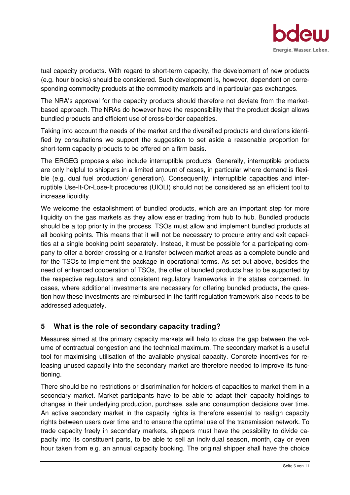

tual capacity products. With regard to short-term capacity, the development of new products (e.g. hour blocks) should be considered. Such development is, however, dependent on corresponding commodity products at the commodity markets and in particular gas exchanges.

The NRA's approval for the capacity products should therefore not deviate from the marketbased approach. The NRAs do however have the responsibility that the product design allows bundled products and efficient use of cross-border capacities.

Taking into account the needs of the market and the diversified products and durations identified by consultations we support the suggestion to set aside a reasonable proportion for short-term capacity products to be offered on a firm basis.

The ERGEG proposals also include interruptible products. Generally, interruptible products are only helpful to shippers in a limited amount of cases, in particular where demand is flexible (e.g. dual fuel production/ generation). Consequently, interruptible capacities and interruptible Use-It-Or-Lose-It procedures (UIOLI) should not be considered as an efficient tool to increase liquidity.

We welcome the establishment of bundled products, which are an important step for more liquidity on the gas markets as they allow easier trading from hub to hub. Bundled products should be a top priority in the process. TSOs must allow and implement bundled products at all booking points. This means that it will not be necessary to procure entry and exit capacities at a single booking point separately. Instead, it must be possible for a participating company to offer a border crossing or a transfer between market areas as a complete bundle and for the TSOs to implement the package in operational terms. As set out above, besides the need of enhanced cooperation of TSOs, the offer of bundled products has to be supported by the respective regulators and consistent regulatory frameworks in the states concerned. In cases, where additional investments are necessary for offering bundled products, the question how these investments are reimbursed in the tariff regulation framework also needs to be addressed adequately.

## **5 What is the role of secondary capacity trading?**

Measures aimed at the primary capacity markets will help to close the gap between the volume of contractual congestion and the technical maximum. The secondary market is a useful tool for maximising utilisation of the available physical capacity. Concrete incentives for releasing unused capacity into the secondary market are therefore needed to improve its functioning.

There should be no restrictions or discrimination for holders of capacities to market them in a secondary market. Market participants have to be able to adapt their capacity holdings to changes in their underlying production, purchase, sale and consumption decisions over time. An active secondary market in the capacity rights is therefore essential to realign capacity rights between users over time and to ensure the optimal use of the transmission network. To trade capacity freely in secondary markets, shippers must have the possibility to divide capacity into its constituent parts, to be able to sell an individual season, month, day or even hour taken from e.g. an annual capacity booking. The original shipper shall have the choice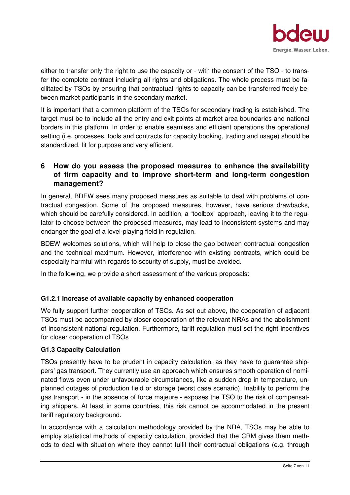

either to transfer only the right to use the capacity or - with the consent of the TSO - to transfer the complete contract including all rights and obligations. The whole process must be facilitated by TSOs by ensuring that contractual rights to capacity can be transferred freely between market participants in the secondary market.

It is important that a common platform of the TSOs for secondary trading is established. The target must be to include all the entry and exit points at market area boundaries and national borders in this platform. In order to enable seamless and efficient operations the operational setting (i.e. processes, tools and contracts for capacity booking, trading and usage) should be standardized, fit for purpose and very efficient.

# **6 How do you assess the proposed measures to enhance the availability of firm capacity and to improve short-term and long-term congestion management?**

In general, BDEW sees many proposed measures as suitable to deal with problems of contractual congestion. Some of the proposed measures, however, have serious drawbacks, which should be carefully considered. In addition, a "toolbox" approach, leaving it to the regulator to choose between the proposed measures, may lead to inconsistent systems and may endanger the goal of a level-playing field in regulation.

BDEW welcomes solutions, which will help to close the gap between contractual congestion and the technical maximum. However, interference with existing contracts, which could be especially harmful with regards to security of supply, must be avoided.

In the following, we provide a short assessment of the various proposals:

## **G1.2.1 Increase of available capacity by enhanced cooperation**

We fully support further cooperation of TSOs. As set out above, the cooperation of adjacent TSOs must be accompanied by closer cooperation of the relevant NRAs and the abolishment of inconsistent national regulation. Furthermore, tariff regulation must set the right incentives for closer cooperation of TSOs

## **G1.3 Capacity Calculation**

TSOs presently have to be prudent in capacity calculation, as they have to guarantee shippers' gas transport. They currently use an approach which ensures smooth operation of nominated flows even under unfavourable circumstances, like a sudden drop in temperature, unplanned outages of production field or storage (worst case scenario). Inability to perform the gas transport - in the absence of force majeure - exposes the TSO to the risk of compensating shippers. At least in some countries, this risk cannot be accommodated in the present tariff regulatory background.

In accordance with a calculation methodology provided by the NRA, TSOs may be able to employ statistical methods of capacity calculation, provided that the CRM gives them methods to deal with situation where they cannot fulfil their contractual obligations (e.g. through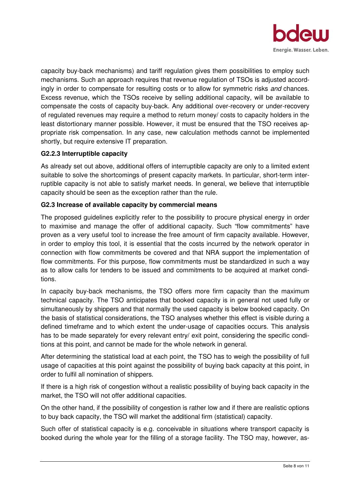

capacity buy-back mechanisms) and tariff regulation gives them possibilities to employ such mechanisms. Such an approach requires that revenue regulation of TSOs is adjusted accordingly in order to compensate for resulting costs or to allow for symmetric risks and chances. Excess revenue, which the TSOs receive by selling additional capacity, will be available to compensate the costs of capacity buy-back. Any additional over-recovery or under-recovery of regulated revenues may require a method to return money/ costs to capacity holders in the least distortionary manner possible. However, it must be ensured that the TSO receives appropriate risk compensation. In any case, new calculation methods cannot be implemented shortly, but require extensive IT preparation.

#### **G2.2.3 Interruptible capacity**

As already set out above, additional offers of interruptible capacity are only to a limited extent suitable to solve the shortcomings of present capacity markets. In particular, short-term interruptible capacity is not able to satisfy market needs. In general, we believe that interruptible capacity should be seen as the exception rather than the rule.

#### **G2.3 Increase of available capacity by commercial means**

The proposed guidelines explicitly refer to the possibility to procure physical energy in order to maximise and manage the offer of additional capacity. Such "flow commitments" have proven as a very useful tool to increase the free amount of firm capacity available. However, in order to employ this tool, it is essential that the costs incurred by the network operator in connection with flow commitments be covered and that NRA support the implementation of flow commitments. For this purpose, flow commitments must be standardized in such a way as to allow calls for tenders to be issued and commitments to be acquired at market conditions.

In capacity buy-back mechanisms, the TSO offers more firm capacity than the maximum technical capacity. The TSO anticipates that booked capacity is in general not used fully or simultaneously by shippers and that normally the used capacity is below booked capacity. On the basis of statistical considerations, the TSO analyses whether this effect is visible during a defined timeframe and to which extent the under-usage of capacities occurs. This analysis has to be made separately for every relevant entry/ exit point, considering the specific conditions at this point, and cannot be made for the whole network in general.

After determining the statistical load at each point, the TSO has to weigh the possibility of full usage of capacities at this point against the possibility of buying back capacity at this point, in order to fulfil all nomination of shippers.

If there is a high risk of congestion without a realistic possibility of buying back capacity in the market, the TSO will not offer additional capacities.

On the other hand, if the possibility of congestion is rather low and if there are realistic options to buy back capacity, the TSO will market the additional firm (statistical) capacity.

Such offer of statistical capacity is e.g. conceivable in situations where transport capacity is booked during the whole year for the filling of a storage facility. The TSO may, however, as-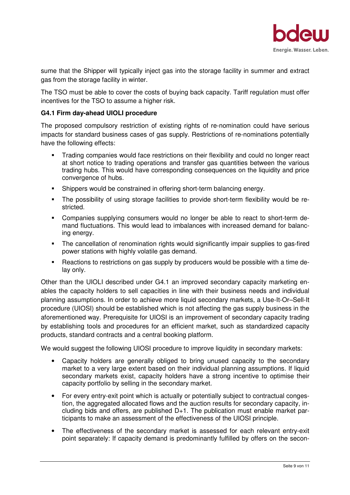

sume that the Shipper will typically inject gas into the storage facility in summer and extract gas from the storage facility in winter.

The TSO must be able to cover the costs of buying back capacity. Tariff regulation must offer incentives for the TSO to assume a higher risk.

#### **G4.1 Firm day-ahead UIOLI procedure**

The proposed compulsory restriction of existing rights of re-nomination could have serious impacts for standard business cases of gas supply. Restrictions of re-nominations potentially have the following effects:

- Trading companies would face restrictions on their flexibility and could no longer react at short notice to trading operations and transfer gas quantities between the various trading hubs. This would have corresponding consequences on the liquidity and price convergence of hubs.
- Shippers would be constrained in offering short-term balancing energy.
- The possibility of using storage facilities to provide short-term flexibility would be restricted.
- Companies supplying consumers would no longer be able to react to short-term demand fluctuations. This would lead to imbalances with increased demand for balancing energy.
- The cancellation of renomination rights would significantly impair supplies to gas-fired power stations with highly volatile gas demand.
- **Reactions to restrictions on gas supply by producers would be possible with a time de**lay only.

Other than the UIOLI described under G4.1 an improved secondary capacity marketing enables the capacity holders to sell capacities in line with their business needs and individual planning assumptions. In order to achieve more liquid secondary markets, a Use-It-Or–Sell-It procedure (UIOSI) should be established which is not affecting the gas supply business in the aforementioned way. Prerequisite for UIOSI is an improvement of secondary capacity trading by establishing tools and procedures for an efficient market, such as standardized capacity products, standard contracts and a central booking platform.

We would suggest the following UIOSI procedure to improve liquidity in secondary markets:

- Capacity holders are generally obliged to bring unused capacity to the secondary market to a very large extent based on their individual planning assumptions. If liquid secondary markets exist, capacity holders have a strong incentive to optimise their capacity portfolio by selling in the secondary market.
- For every entry-exit point which is actually or potentially subject to contractual congestion, the aggregated allocated flows and the auction results for secondary capacity, including bids and offers, are published  $D+1$ . The publication must enable market participants to make an assessment of the effectiveness of the UIOSI principle.
- The effectiveness of the secondary market is assessed for each relevant entry-exit point separately: If capacity demand is predominantly fulfilled by offers on the secon-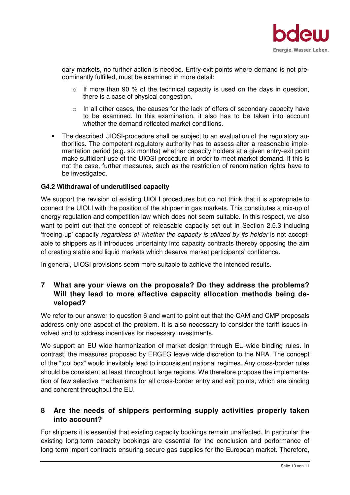

dary markets, no further action is needed. Entry-exit points where demand is not predominantly fulfilled, must be examined in more detail:

- If more than 90 % of the technical capacity is used on the days in question, there is a case of physical congestion.
- $\circ$  In all other cases, the causes for the lack of offers of secondary capacity have to be examined. In this examination, it also has to be taken into account whether the demand reflected market conditions.
- The described UIOSI-procedure shall be subject to an evaluation of the regulatory authorities. The competent regulatory authority has to assess after a reasonable implementation period (e.g. six months) whether capacity holders at a given entry-exit point make sufficient use of the UIOSI procedure in order to meet market demand. If this is not the case, further measures, such as the restriction of renomination rights have to be investigated.

#### **G4.2 Withdrawal of underutilised capacity**

We support the revision of existing UIOLI procedures but do not think that it is appropriate to connect the UIOLI with the position of the shipper in gas markets. This constitutes a mix-up of energy regulation and competition law which does not seem suitable. In this respect, we also want to point out that the concept of releasable capacity set out in Section 2.5.3 including 'freeing up' capacity regardless of whether the capacity is utilized by its holder is not acceptable to shippers as it introduces uncertainty into capacity contracts thereby opposing the aim of creating stable and liquid markets which deserve market participants' confidence.

In general, UIOSI provisions seem more suitable to achieve the intended results.

## **7 What are your views on the proposals? Do they address the problems? Will they lead to more effective capacity allocation methods being developed?**

We refer to our answer to question 6 and want to point out that the CAM and CMP proposals address only one aspect of the problem. It is also necessary to consider the tariff issues involved and to address incentives for necessary investments.

We support an EU wide harmonization of market design through EU-wide binding rules. In contrast, the measures proposed by ERGEG leave wide discretion to the NRA. The concept of the "tool box" would inevitably lead to inconsistent national regimes. Any cross-border rules should be consistent at least throughout large regions. We therefore propose the implementation of few selective mechanisms for all cross-border entry and exit points, which are binding and coherent throughout the EU.

## **8 Are the needs of shippers performing supply activities properly taken into account?**

For shippers it is essential that existing capacity bookings remain unaffected. In particular the existing long-term capacity bookings are essential for the conclusion and performance of long-term import contracts ensuring secure gas supplies for the European market. Therefore,